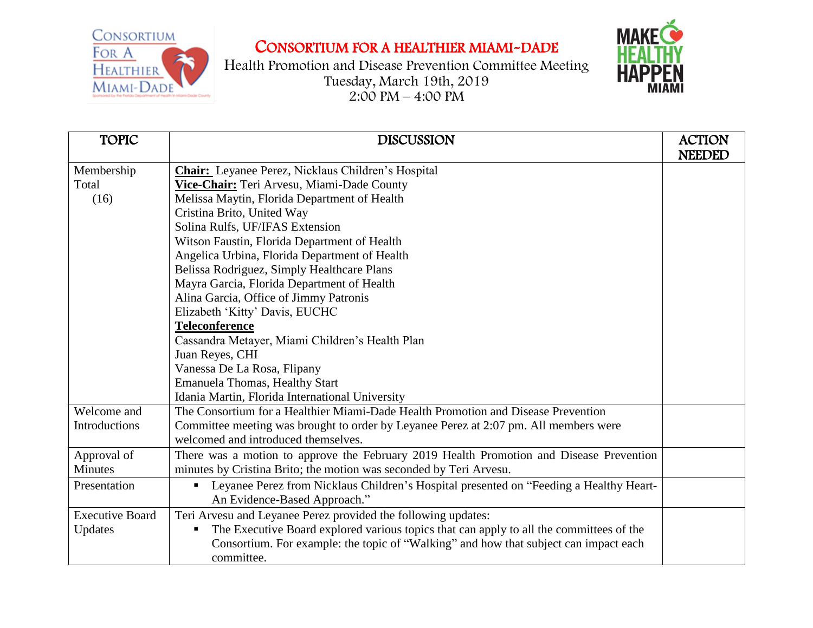CONSORTIUM FOR A HEALTHIER MIAMI-DADE

## CONSORTIUM FOR A HEALTHIER MIAMI-DADE



Health Promotion and Disease Prevention Committee Meeting Tuesday, March 19th, 2019  $2:00 \text{ PM} - 4:00 \text{ PM}$ 

| <b>TOPIC</b>           | <b>DISCUSSION</b>                                                                            | <b>ACTION</b> |
|------------------------|----------------------------------------------------------------------------------------------|---------------|
|                        |                                                                                              | <b>NEEDED</b> |
| Membership             | <b>Chair:</b> Leyanee Perez, Nicklaus Children's Hospital                                    |               |
| Total                  | Vice-Chair: Teri Arvesu, Miami-Dade County                                                   |               |
| (16)                   | Melissa Maytin, Florida Department of Health                                                 |               |
|                        | Cristina Brito, United Way                                                                   |               |
|                        | Solina Rulfs, UF/IFAS Extension                                                              |               |
|                        | Witson Faustin, Florida Department of Health                                                 |               |
|                        | Angelica Urbina, Florida Department of Health                                                |               |
|                        | Belissa Rodriguez, Simply Healthcare Plans                                                   |               |
|                        | Mayra Garcia, Florida Department of Health                                                   |               |
|                        | Alina Garcia, Office of Jimmy Patronis                                                       |               |
|                        | Elizabeth 'Kitty' Davis, EUCHC                                                               |               |
|                        | <b>Teleconference</b>                                                                        |               |
|                        | Cassandra Metayer, Miami Children's Health Plan                                              |               |
|                        | Juan Reyes, CHI                                                                              |               |
|                        | Vanessa De La Rosa, Flipany                                                                  |               |
|                        | <b>Emanuela Thomas, Healthy Start</b>                                                        |               |
|                        | Idania Martin, Florida International University                                              |               |
| Welcome and            | The Consortium for a Healthier Miami-Dade Health Promotion and Disease Prevention            |               |
| <b>Introductions</b>   | Committee meeting was brought to order by Leyanee Perez at 2:07 pm. All members were         |               |
|                        | welcomed and introduced themselves.                                                          |               |
| Approval of            | There was a motion to approve the February 2019 Health Promotion and Disease Prevention      |               |
| <b>Minutes</b>         | minutes by Cristina Brito; the motion was seconded by Teri Arvesu.                           |               |
| Presentation           | Leyanee Perez from Nicklaus Children's Hospital presented on "Feeding a Healthy Heart-       |               |
|                        | An Evidence-Based Approach."                                                                 |               |
| <b>Executive Board</b> | Teri Arvesu and Leyanee Perez provided the following updates:                                |               |
| Updates                | The Executive Board explored various topics that can apply to all the committees of the<br>п |               |
|                        | Consortium. For example: the topic of "Walking" and how that subject can impact each         |               |
|                        | committee.                                                                                   |               |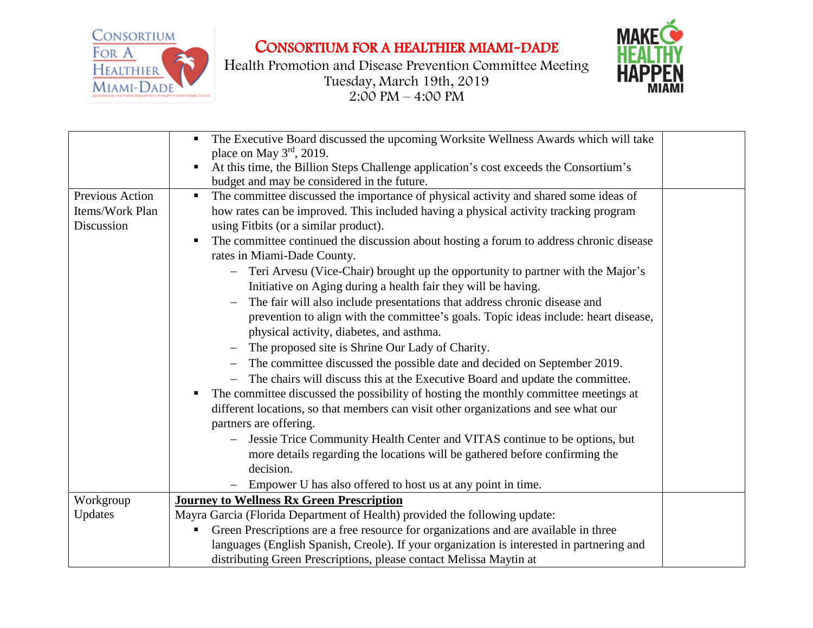**CONSORTIUM** FOR A **HEALTHIER** MIAMI-DADE

CONSORTIUM FOR A HEALTHIER MIAMI-DADE





|                        | The Executive Board discussed the upcoming Worksite Wellness Awards which will take<br>place on May $3rd$ , 2019.<br>At this time, the Billion Steps Challenge application's cost exceeds the Consortium's |  |
|------------------------|------------------------------------------------------------------------------------------------------------------------------------------------------------------------------------------------------------|--|
|                        | budget and may be considered in the future.                                                                                                                                                                |  |
| <b>Previous Action</b> | The committee discussed the importance of physical activity and shared some ideas of<br>п.                                                                                                                 |  |
| Items/Work Plan        | how rates can be improved. This included having a physical activity tracking program                                                                                                                       |  |
| Discussion             | using Fitbits (or a similar product).                                                                                                                                                                      |  |
|                        | The committee continued the discussion about hosting a forum to address chronic disease<br>п                                                                                                               |  |
|                        | rates in Miami-Dade County.                                                                                                                                                                                |  |
|                        | - Teri Arvesu (Vice-Chair) brought up the opportunity to partner with the Major's<br>Initiative on Aging during a health fair they will be having.                                                         |  |
|                        | The fair will also include presentations that address chronic disease and                                                                                                                                  |  |
|                        | prevention to align with the committee's goals. Topic ideas include: heart disease,<br>physical activity, diabetes, and asthma.                                                                            |  |
|                        | The proposed site is Shrine Our Lady of Charity.                                                                                                                                                           |  |
|                        | The committee discussed the possible date and decided on September 2019.                                                                                                                                   |  |
|                        | The chairs will discuss this at the Executive Board and update the committee.                                                                                                                              |  |
|                        | The committee discussed the possibility of hosting the monthly committee meetings at<br>п.                                                                                                                 |  |
|                        | different locations, so that members can visit other organizations and see what our                                                                                                                        |  |
|                        | partners are offering.                                                                                                                                                                                     |  |
|                        | Jessie Trice Community Health Center and VITAS continue to be options, but<br>$-$                                                                                                                          |  |
|                        | more details regarding the locations will be gathered before confirming the                                                                                                                                |  |
|                        | decision.                                                                                                                                                                                                  |  |
|                        | Empower U has also offered to host us at any point in time.                                                                                                                                                |  |
| Workgroup              | <b>Journey to Wellness Rx Green Prescription</b>                                                                                                                                                           |  |
| Updates                | Mayra Garcia (Florida Department of Health) provided the following update:                                                                                                                                 |  |
|                        | Green Prescriptions are a free resource for organizations and are available in three                                                                                                                       |  |
|                        | languages (English Spanish, Creole). If your organization is interested in partnering and                                                                                                                  |  |
|                        | distributing Green Prescriptions, please contact Melissa Maytin at                                                                                                                                         |  |